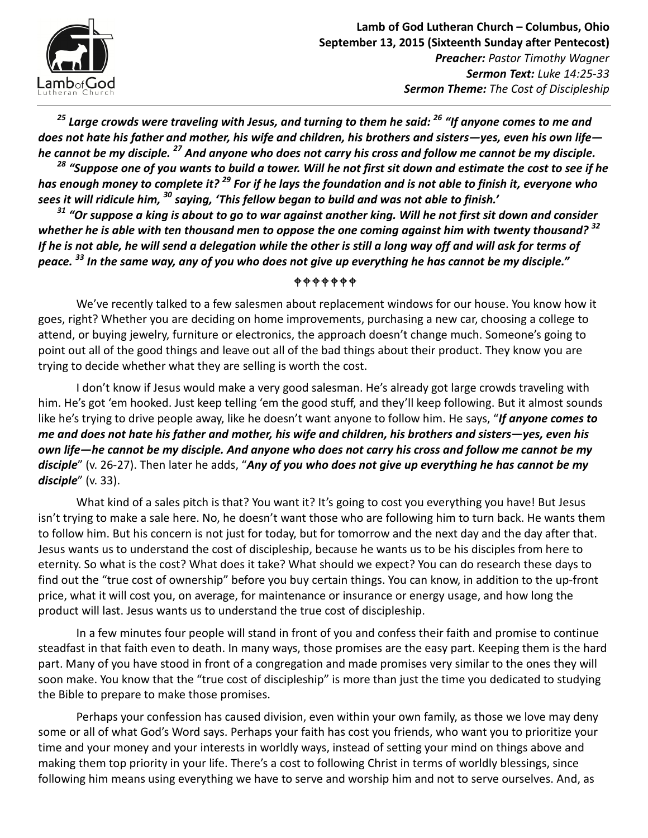

 $^{25}$  Large crowds were traveling with Jesus, and turning to them he said:  $^{26}$  "If anyone comes to me and does not hate his father and mother, his wife and children, his brothers and sisters—yes, even his own life he cannot be my disciple. <sup>27</sup> And anyone who does not carry his cross and follow me cannot be my disciple.

<sup>28</sup> "Suppose one of you wants to build a tower. Will he not first sit down and estimate the cost to see if he has enough money to complete it?<sup>29</sup> For if he lays the foundation and is not able to finish it, everyone who sees it will ridicule him, <sup>30</sup> saying, 'This fellow began to build and was not able to finish.'

 $31$  "Or suppose a king is about to go to war against another king. Will he not first sit down and consider whether he is able with ten thousand men to oppose the one coming against him with twenty thousand?  $32$ If he is not able, he will send a delegation while the other is still a long way off and will ask for terms of peace. <sup>33</sup> In the same way, any of you who does not give up everything he has cannot be my disciple."

## $+ + + + + +$

We've recently talked to a few salesmen about replacement windows for our house. You know how it goes, right? Whether you are deciding on home improvements, purchasing a new car, choosing a college to attend, or buying jewelry, furniture or electronics, the approach doesn't change much. Someone's going to point out all of the good things and leave out all of the bad things about their product. They know you are trying to decide whether what they are selling is worth the cost.

I don't know if Jesus would make a very good salesman. He's already got large crowds traveling with him. He's got 'em hooked. Just keep telling 'em the good stuff, and they'll keep following. But it almost sounds like he's trying to drive people away, like he doesn't want anyone to follow him. He says, "If anyone comes to me and does not hate his father and mother, his wife and children, his brothers and sisters—yes, even his own life—he cannot be my disciple. And anyone who does not carry his cross and follow me cannot be my disciple" (v. 26-27). Then later he adds, "Any of you who does not give up everything he has cannot be my  $discipher'$  (v. 33).

What kind of a sales pitch is that? You want it? It's going to cost you everything you have! But Jesus isn't trying to make a sale here. No, he doesn't want those who are following him to turn back. He wants them to follow him. But his concern is not just for today, but for tomorrow and the next day and the day after that. Jesus wants us to understand the cost of discipleship, because he wants us to be his disciples from here to eternity. So what is the cost? What does it take? What should we expect? You can do research these days to find out the "true cost of ownership" before you buy certain things. You can know, in addition to the up-front price, what it will cost you, on average, for maintenance or insurance or energy usage, and how long the product will last. Jesus wants us to understand the true cost of discipleship.

In a few minutes four people will stand in front of you and confess their faith and promise to continue steadfast in that faith even to death. In many ways, those promises are the easy part. Keeping them is the hard part. Many of you have stood in front of a congregation and made promises very similar to the ones they will soon make. You know that the "true cost of discipleship" is more than just the time you dedicated to studying the Bible to prepare to make those promises.

Perhaps your confession has caused division, even within your own family, as those we love may deny some or all of what God's Word says. Perhaps your faith has cost you friends, who want you to prioritize your time and your money and your interests in worldly ways, instead of setting your mind on things above and making them top priority in your life. There's a cost to following Christ in terms of worldly blessings, since following him means using everything we have to serve and worship him and not to serve ourselves. And, as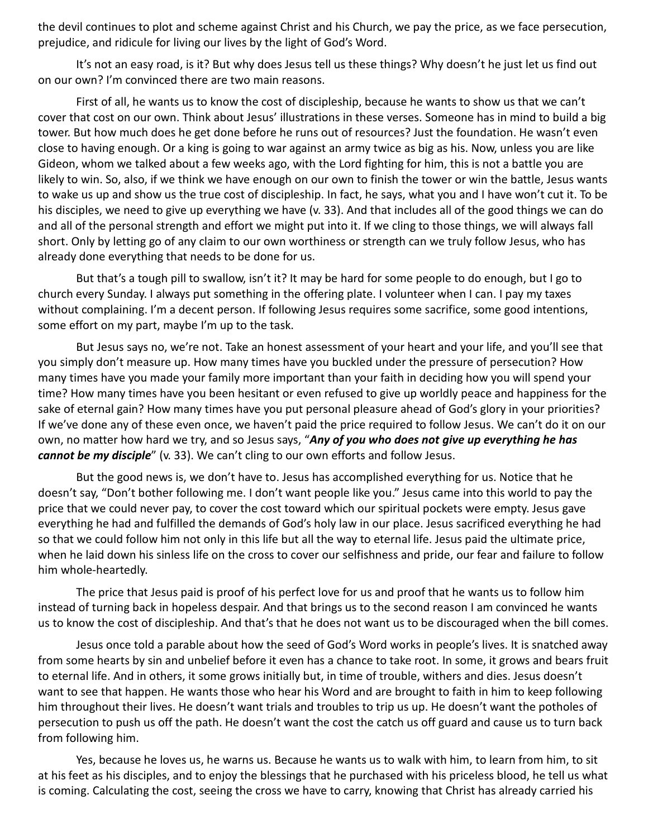the devil continues to plot and scheme against Christ and his Church, we pay the price, as we face persecution, prejudice, and ridicule for living our lives by the light of God's Word.

It's not an easy road, is it? But why does Jesus tell us these things? Why doesn't he just let us find out on our own? I'm convinced there are two main reasons.

First of all, he wants us to know the cost of discipleship, because he wants to show us that we can't cover that cost on our own. Think about Jesus' illustrations in these verses. Someone has in mind to build a big tower. But how much does he get done before he runs out of resources? Just the foundation. He wasn't even close to having enough. Or a king is going to war against an army twice as big as his. Now, unless you are like Gideon, whom we talked about a few weeks ago, with the Lord fighting for him, this is not a battle you are likely to win. So, also, if we think we have enough on our own to finish the tower or win the battle, Jesus wants to wake us up and show us the true cost of discipleship. In fact, he says, what you and I have won't cut it. To be his disciples, we need to give up everything we have (v. 33). And that includes all of the good things we can do and all of the personal strength and effort we might put into it. If we cling to those things, we will always fall short. Only by letting go of any claim to our own worthiness or strength can we truly follow Jesus, who has already done everything that needs to be done for us.

But that's a tough pill to swallow, isn't it? It may be hard for some people to do enough, but I go to church every Sunday. I always put something in the offering plate. I volunteer when I can. I pay my taxes without complaining. I'm a decent person. If following Jesus requires some sacrifice, some good intentions, some effort on my part, maybe I'm up to the task.

But Jesus says no, we're not. Take an honest assessment of your heart and your life, and you'll see that you simply don't measure up. How many times have you buckled under the pressure of persecution? How many times have you made your family more important than your faith in deciding how you will spend your time? How many times have you been hesitant or even refused to give up worldly peace and happiness for the sake of eternal gain? How many times have you put personal pleasure ahead of God's glory in your priorities? If we've done any of these even once, we haven't paid the price required to follow Jesus. We can't do it on our own, no matter how hard we try, and so Jesus says, "Any of you who does not give up everything he has cannot be my disciple" (v. 33). We can't cling to our own efforts and follow Jesus.

But the good news is, we don't have to. Jesus has accomplished everything for us. Notice that he doesn't say, "Don't bother following me. I don't want people like you." Jesus came into this world to pay the price that we could never pay, to cover the cost toward which our spiritual pockets were empty. Jesus gave everything he had and fulfilled the demands of God's holy law in our place. Jesus sacrificed everything he had so that we could follow him not only in this life but all the way to eternal life. Jesus paid the ultimate price, when he laid down his sinless life on the cross to cover our selfishness and pride, our fear and failure to follow him whole-heartedly.

The price that Jesus paid is proof of his perfect love for us and proof that he wants us to follow him instead of turning back in hopeless despair. And that brings us to the second reason I am convinced he wants us to know the cost of discipleship. And that's that he does not want us to be discouraged when the bill comes.

Jesus once told a parable about how the seed of God's Word works in people's lives. It is snatched away from some hearts by sin and unbelief before it even has a chance to take root. In some, it grows and bears fruit to eternal life. And in others, it some grows initially but, in time of trouble, withers and dies. Jesus doesn't want to see that happen. He wants those who hear his Word and are brought to faith in him to keep following him throughout their lives. He doesn't want trials and troubles to trip us up. He doesn't want the potholes of persecution to push us off the path. He doesn't want the cost the catch us off guard and cause us to turn back from following him.

Yes, because he loves us, he warns us. Because he wants us to walk with him, to learn from him, to sit at his feet as his disciples, and to enjoy the blessings that he purchased with his priceless blood, he tell us what is coming. Calculating the cost, seeing the cross we have to carry, knowing that Christ has already carried his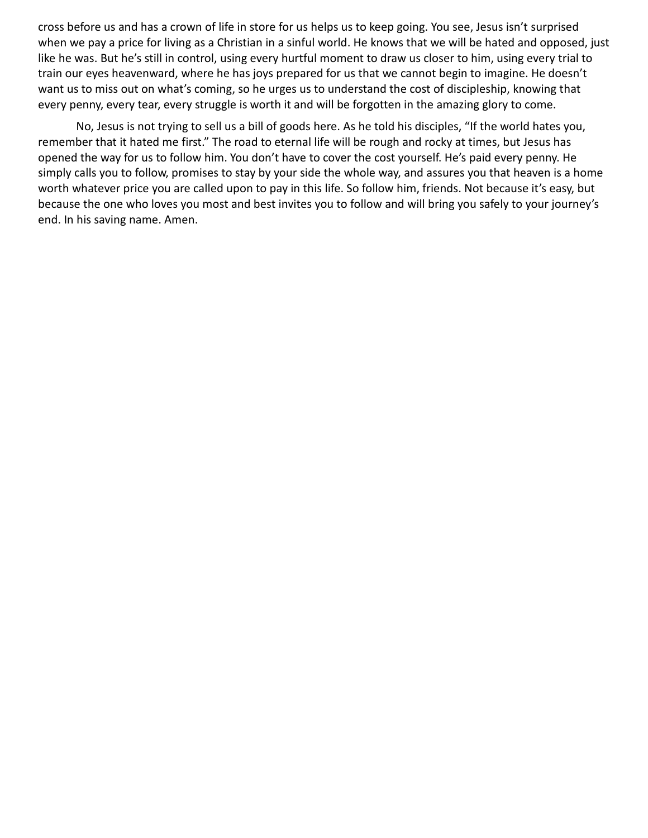cross before us and has a crown of life in store for us helps us to keep going. You see, Jesus isn't surprised when we pay a price for living as a Christian in a sinful world. He knows that we will be hated and opposed, just like he was. But he's still in control, using every hurtful moment to draw us closer to him, using every trial to train our eyes heavenward, where he has joys prepared for us that we cannot begin to imagine. He doesn't want us to miss out on what's coming, so he urges us to understand the cost of discipleship, knowing that every penny, every tear, every struggle is worth it and will be forgotten in the amazing glory to come.

No, Jesus is not trying to sell us a bill of goods here. As he told his disciples, "If the world hates you, remember that it hated me first." The road to eternal life will be rough and rocky at times, but Jesus has opened the way for us to follow him. You don't have to cover the cost yourself. He's paid every penny. He simply calls you to follow, promises to stay by your side the whole way, and assures you that heaven is a home worth whatever price you are called upon to pay in this life. So follow him, friends. Not because it's easy, but because the one who loves you most and best invites you to follow and will bring you safely to your journey's end. In his saving name. Amen.